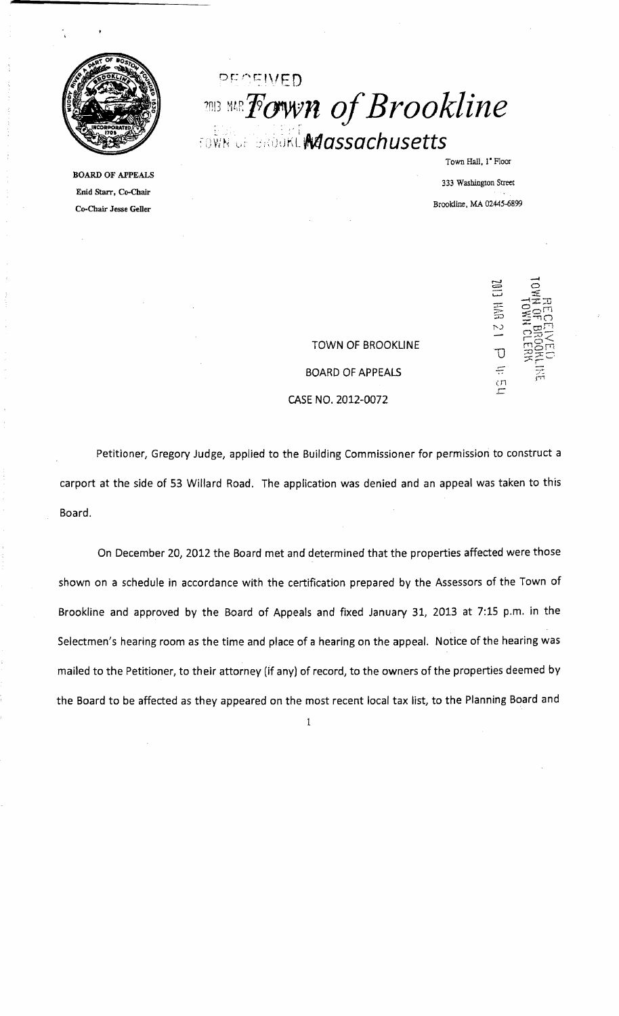

BOARD OF APPEALS Enid Starr, Co-Chair Co-Chair Jesse Geller

# PEQEIVED **1913 MIR Fown of Brookline** fown of Brookl**wa***assachusetts* :

333 Washington Street Brookline, MA 02445-6899

Town Hall, 1" Floor

TOWN OF BROOKLINE BOARD OF APPEALS CASE NO, *2012-0072* 



Petitioner, Gregory Judge, applied to the Building Commissioner for permission to construct a carport at the side of 53 Willard Road. The application was denied and an appeal was taken to this Board.

On December *20, 2012* the Board met and determined that the properties affected were those shown on a schedule in accordance with the certification prepared by the Assessors of the Town of Brookline and approved by the Board of Appeals and fixed January 31, 2013 at 7:15 p.m. in the Selectmen's hearing room as the time and place of a hearing on the appeal. Notice of the hearing was mailed to the Petitioner, to their attorney (if any) of record, to the owners of the properties deemed by the Board to be affected as they appeared on the most recent local tax list, to the Planning Board and

 $\mathbf{1}$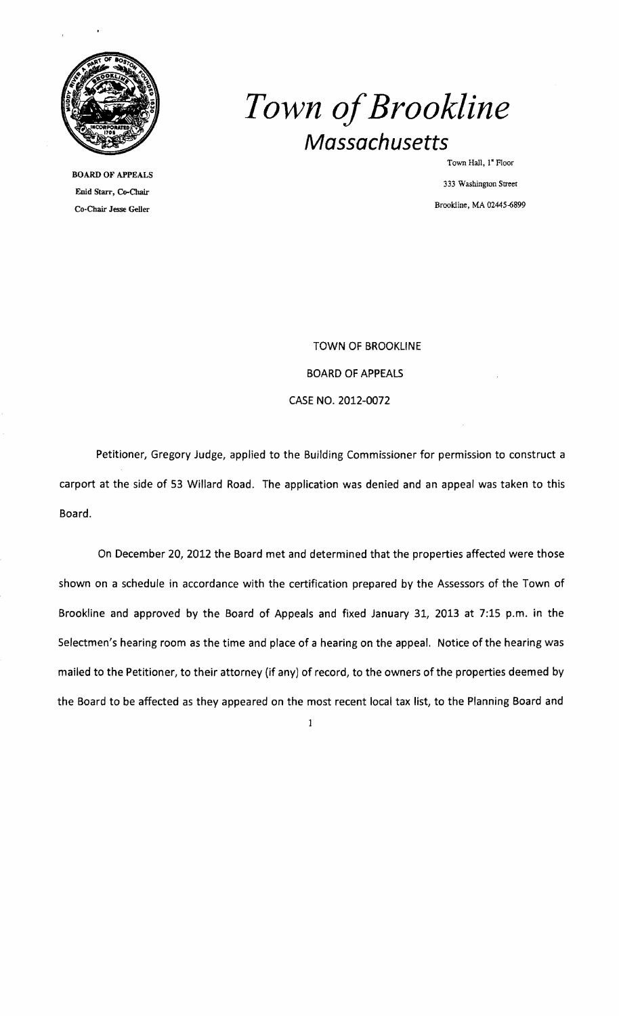

BOARD OF APPEALS Enid Starr, Co-Chair Brookline, MA 02445-6899 Co-Chair Jesse Geller

# *Town ofBrookline Massachusetts*

Town Hall, 1" Floor 333 Washington Street

TOWN OF BROOKLINE BOARD OF APPEALS CASE NO. 2012-0072

Petitioner, Gregory Judge, applied to the Building Commissioner for permission to construct a carport at the side of 53 Willard Road. The application was denied and an appeal was taken to this Board.

On December 20, 2012 the Board met and determined that the properties affected were those shown on a schedule in accordance with the certification prepared by the Assessors of the Town of Brookline and approved by the Board of Appeals and fixed January 31, 2013 at 7:15 p.m. in the Selectmen's hearing room as the time and place of a hearing on the appeal. Notice of the hearing was mailed to the Petitioner, to their attorney (if any) of record, to the owners of the properties deemed by the Board to be affected as they appeared on the most recent local tax list, to the Planning Board and

 $\mathbf{1}$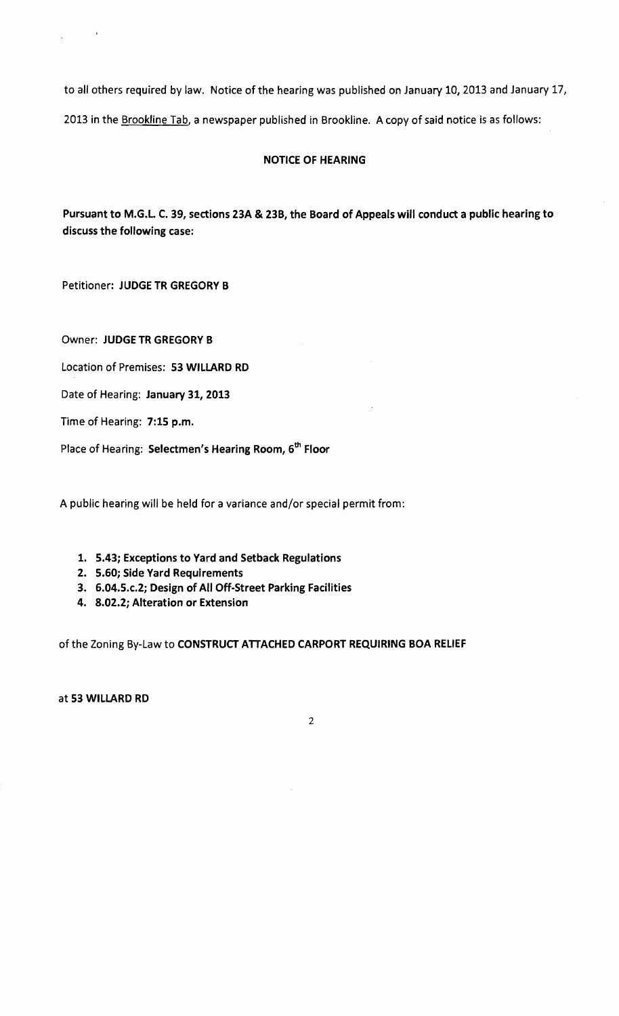to all others required by law. Notice of the hearing was published on January 10, 2013 and January 17, 2013 in the Brookline Tab, a newspaper published in Brookline. A copy of said notice is as follows:

## NOTICE OF HEARING

Pursuant to M.G.L C. 39, sections 23A & 23B, the Board of Appeals will conduct a public hearing to discuss the following case:

Petitioner: JUDGE TR GREGORY B

Owner: JUDGE TR GREGORY B

Location of Premises: 53 WILLARD RD

Date of Hearing: January 31, 2013

Time of Hearing: 7:15 p.m.

Place of Hearing: Selectmen's Hearing Room, 6<sup>th</sup> Floor

A public hearing will be held for a variance and/or special permit from:

- 1. 5.43; Exceptions to Yard and Setback Regulations
- 2. 5.60; Side Yard Requirements
- 3. 6.04.5.c.2; Design of All Off-Street Parking Facilities
- 4. 8.02.2; Alteration or Extension

of the Zoning By-Law to CONSTRUCT ATTACHED CARPORT REQUIRING BOA RELIEF

at 53 WILLARD RD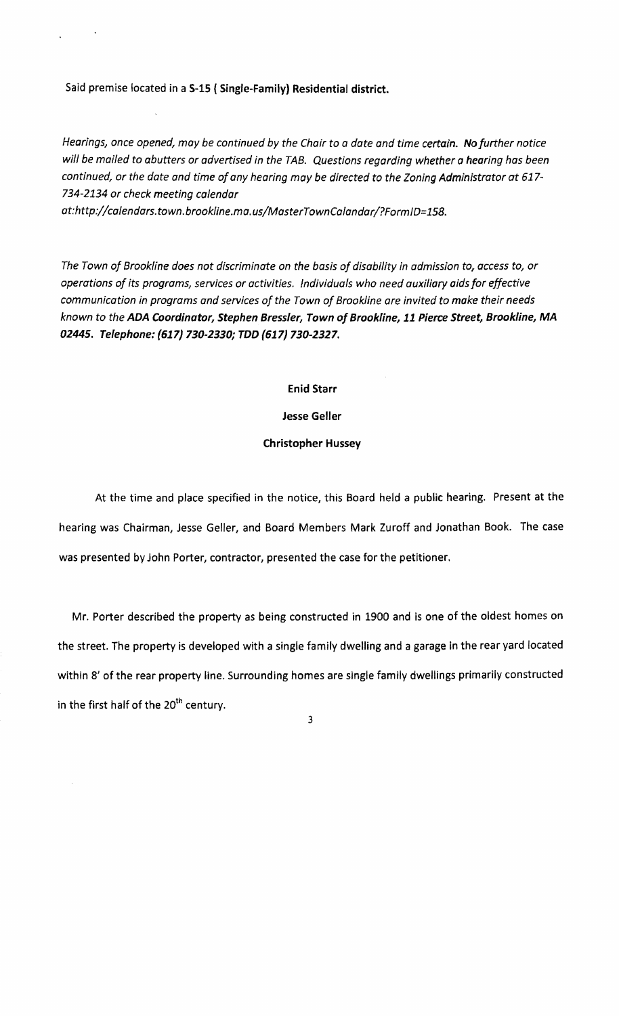Said premise located in a S-15 { Single-Family} Residential district.

*Hearings, once opened, moy be continued by the Chair* to *a date and time certain. No further notice will be mailed* to *abutters or advertised in the TAB. Questions regarding whether a hearing has been continued, or the date and time ofany hearing may be directed* to *the Zoning Administrator at 617 734-2134 or check meeting calendar* 

*at:http://calendars.town.brookline.ma.us/MasterTownCalandar/?FormID=158.* 

*The Town of Brookline does not discriminate on the basis of disability in admission to, access* to, *or operations of its programs, services or activities. Individuals who need auxiliary aids for effective communication in programs and services of the Town of Brookline are invited to make their needs known* to *the ADA Coordinator, Stephen Bressler, Town of Brookline,* 11 *Pierce Street, Brookline, MA 02445. Telephone:* (617) *730-2330; TDD* (617) *730-2327.* 

Enid Starr

Jesse Geller

#### Christopher Hussey

At the time and place specified in the notice, this Board held a public hearing. Present at the hearing was Chairman, Jesse Geller, and Board Members Mark Zuroff and Jonathan Book. The case was presented by John Porter, contractor, presented the case for the petitioner.

Mr. Porter described the property as being constructed in 1900 and is one of the oldest homes on the street. The property is developed with a single family dwelling and a garage in the rear yard located within 8' of the rear property line. Surrounding homes are single family dwellings primarily constructed in the first half of the  $20<sup>th</sup>$  century.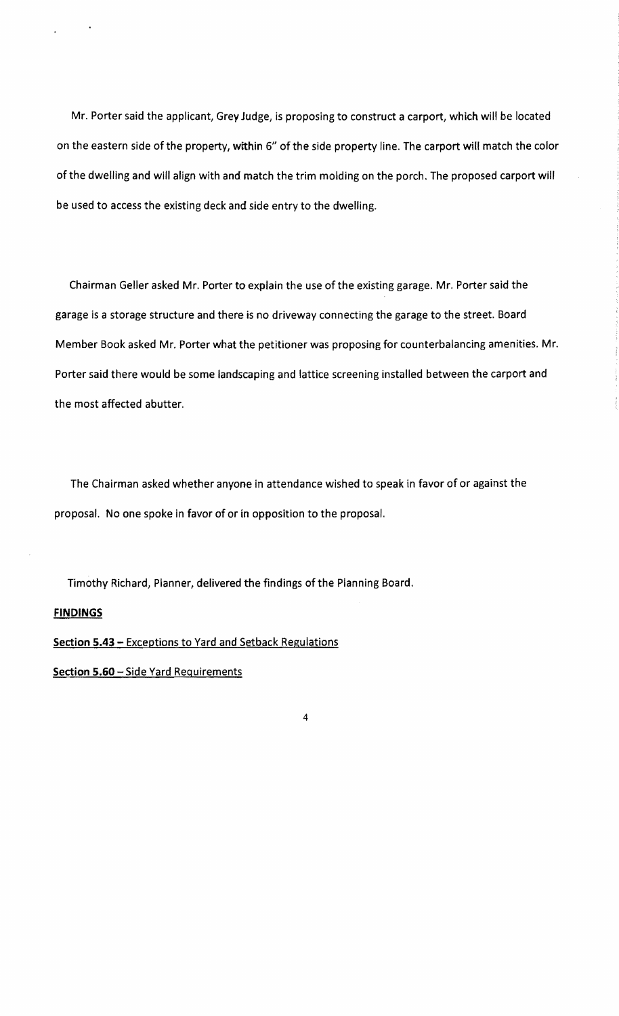Mr. Porter said the applicant, Grey Judge, is proposing to construct a carport, which will be located on the eastern side of the property, within 6" of the side property line. The carport will match the color of the dwelling and will align with and match the trim molding on the porch. The proposed carport will be used to access the existing deck and side entry to the dwelling.

Chairman Geller asked Mr. Porter to explain the use of the existing garage. Mr. Porter said the garage is a storage structure and there is no driveway connecting the garage to the street. Board Member Book asked Mr. Porter what the petitioner was proposing for counterbalancing amenities. Mr. Porter said there would be some landscaping and lattice screening installed between the carport and the most affected abutter.

The Chairman asked whether anyone in attendance wished to speak in favor of or against the proposal. No one spoke in favor of or in opposition to the proposal.

Timothy Richard, Planner, delivered the findings of the Planning Board.

#### **FINDINGS**

Section 5.43 - Exceptions to Yard and Setback Regulations

Section 5.60 - Side Yard Requirements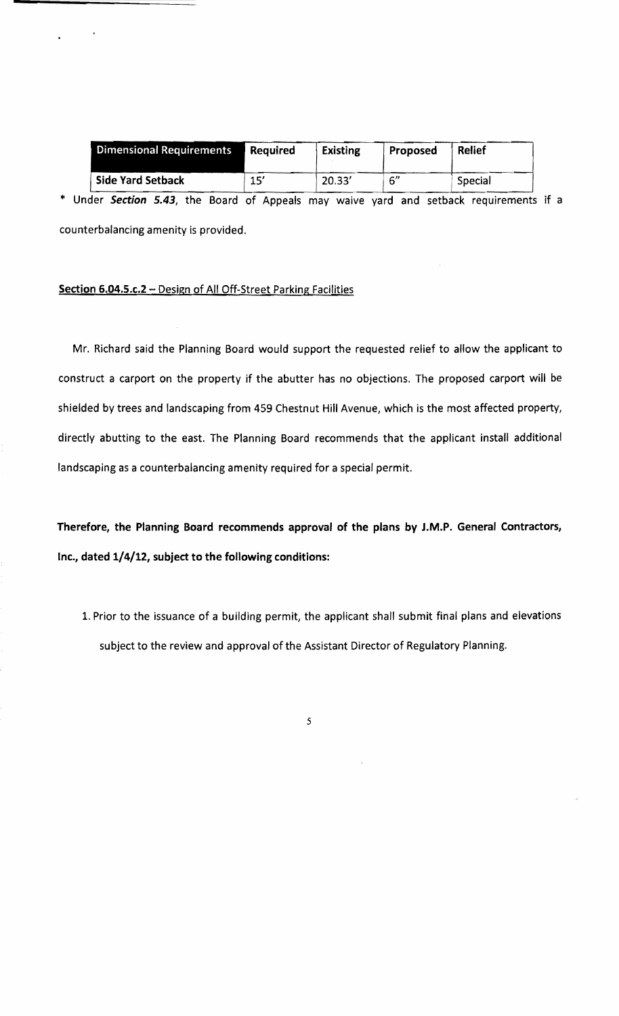| <b>Dimensional Requirements</b> | <b>Required</b> | <b>Existing</b> | Proposed | <b>Relief</b> |
|---------------------------------|-----------------|-----------------|----------|---------------|
| <b>Side Yard Setback</b>        | 15′             | 20.33'          | 6''      | Special       |

\* Under **Section** 5.43, the Board of Appeals may waive yard and setback requirements if a counterbalancing amenity is provided.

### **Section 6.04.5.c.2 - Design of All Off-Street Parking Facilities**

Mr. Richard said the Planning Board would support the requested relief to allow the applicant to construct a carport on the property if the abutter has no objections. The proposed carport will be shielded by trees and landscaping from 459 Chestnut Hill Avenue, which is the most affected property, directly abutting to the east. The Planning Board recommends that the applicant install additional landscaping as a counterbalancing amenity required for a special permit.

**Therefore, the Planning Board recommends approval of the plans by J.M.P. General Contractors, Inc., dated 1/4/12, subject to the following conditions:** 

1. Prior to the issuance of a building permit, the applicant shall submit final plans and elevations subject to the review and approval of the Assistant Director of Regulatory Planning.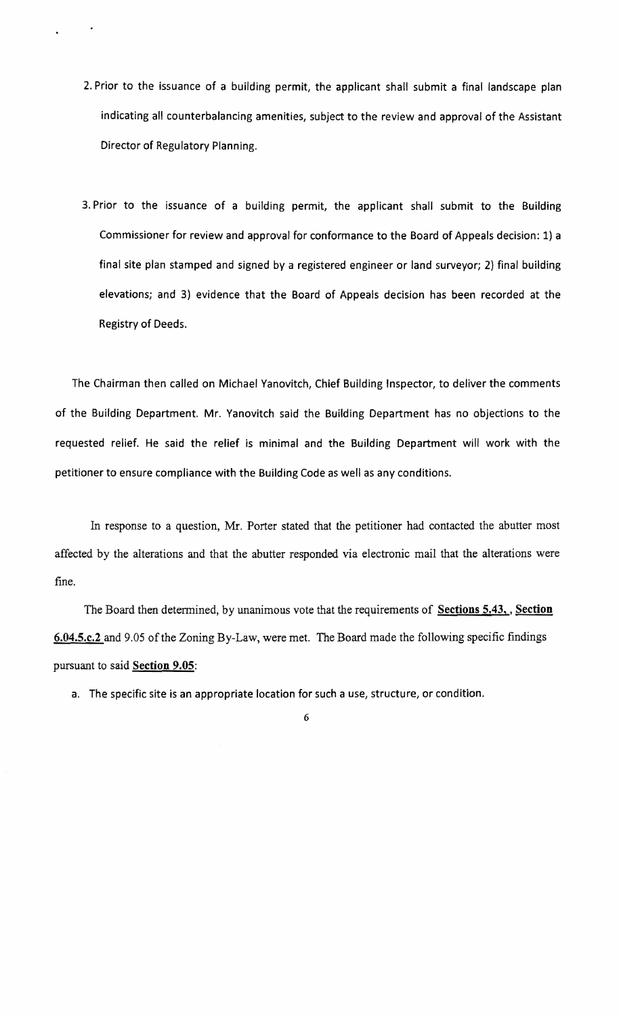- 2. Prior to the issuance of a building permit, the applicant shall submit a final landscape plan indicating all counterbalancing amenities, subject to the review and approval of the Assistant Director of Regulatory Planning.
- 3. Prior to the issuance of a building permit, the applicant shall submit to the Building Commissioner for review and approval for conformance to the Board of Appeals decision: 1) a final site plan stamped and signed by a registered engineer or land surveyor; 2} final building elevations; and 3) evidence that the Board of Appeals decision has been recorded at the Registry of Deeds.

The Chairman then called on Michael Yanovitch, Chief Building Inspector, to deliver the comments of the Building Department. Mr. Yanovitch said the Building Department has no objections to the requested relief. He said the relief is minimal and the Building Department will work with the petitioner to ensure compliance with the Building Code as well as any conditions.

In response to a question, Mr. Porter stated that the petitioner had contacted the abutter most affected by the alterations and that the abutter responded via electronic mail that the alterations were fine.

The Board then determined, by unanimous vote that the requirements of Sections 5.43, Section 6.04.5.c.2 and 9.05 of the Zoning By-Law, were met. The Board made the following specific findings pursuant to said **Section 9.05**:

a. The specific site is an appropriate location for such a use, structure, or condition.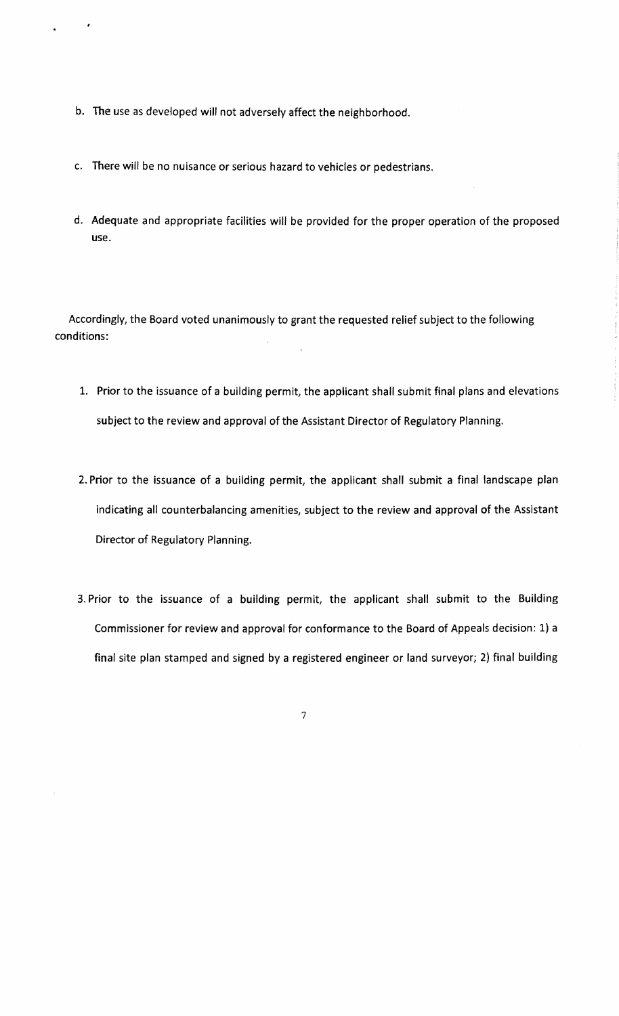- b. The use as developed will not adversely affect the neighborhood.
- c. There will be no nuisance or serious hazard to vehicles or pedestrians.
- d. Adequate and appropriate facilities will be provided for the proper operation of the proposed use.

Accordingly, the Board voted unanimously to grant the requested relief subject to the following conditions:

- 1. Prior to the issuance of a building permit, the applicant shall submit final plans and elevations subject to the review and approval of the Assistant Director of Regulatory Planning.
- 2. Prior to the issuance of a building permit, the applicant shall submit a final landscape plan indicating all counterbalancing amenities, subject to the review and approval of the Assistant Director of Regulatory Planning.
- 3. Prior to the issuance of a building permit, the applicant shall submit to the Building Commissioner for review and approval for conformance to the Board of Appeals decision: 1) a final site plan stamped and signed by a registered engineer or land surveyor; 2) final building